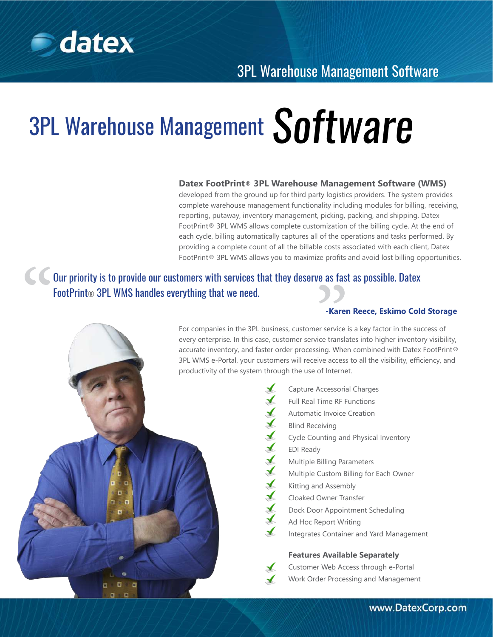

# 3PL Warehouse Management Software

#### **Datex FootPrint**® **3PL Warehouse Management Software (WMS)**

developed from the ground up for third party logistics providers. The system provides complete warehouse management functionality including modules for billing, receiving, reporting, putaway, inventory management, picking, packing, and shipping. Datex FootPrint® 3PL WMS allows complete customization of the billing cycle. At the end of each cycle, billing automatically captures all of the operations and tasks performed. By providing a complete count of all the billable costs associated with each client, Datex FootPrint® 3PL WMS allows you to maximize profits and avoid lost billing opportunities.

# FootPrint® 3PL WMS allows you to maximize profits<br> **Our priority is to provide our customers with services that they deserve as fast<br>
FootPrint® 3PL WMS handles everything that we need.<br>
For companies in the 3PL business,** Our priority is to provide our customers with services that they deserve as fast as possible. Datex FootPrint® 3PL WMS handles everything that we need.

#### **-Karen Reece, Eskimo Cold Storage**

For companies in the 3PL business, customer service is a key factor in the success of every enterprise. In this case, customer service translates into higher inventory visibility, accurate inventory, and faster order processing. When combined with Datex FootPrint® 3PL WMS e-Portal, your customers will receive access to all the visibility, efficiency, and productivity of the system through the use of Internet.

Capture Accessorial Charges Full Real Time RF Functions  $\blacktriangle$ Automatic Invoice Creation  $\blacktriangleright$ Blind Receiving  $\overline{A}$ Cycle Counting and Physical Inventory EDI Ready  $X$ Multiple Billing Parameters Multiple Custom Billing for Each Owner Kitting and Assembly  $\blacktriangleright$ Cloaked Owner Transfer  $\blacktriangle$ Dock Door Appointment Scheduling  $\blacktriangleright$ Ad Hoc Report Writing Integrates Container and Yard Management **Features Available Separately** Customer Web Access through e-Portal Work Order Processing and Management